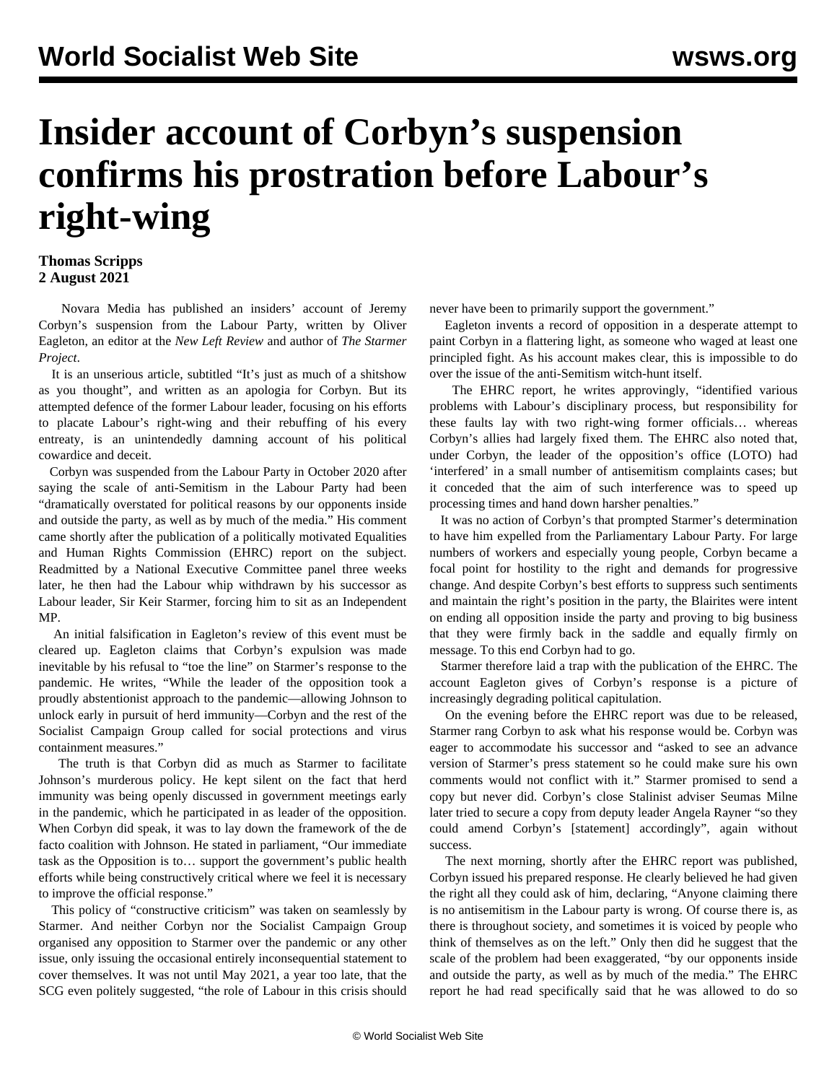## **Insider account of Corbyn's suspension confirms his prostration before Labour's right-wing**

## **Thomas Scripps 2 August 2021**

 Novara Media has published an insiders' account of Jeremy Corbyn's suspension from the Labour Party, written by Oliver Eagleton, an editor at the *New Left Review* and author of *The Starmer Project*.

 It is an unserious article, subtitled "It's just as much of a shitshow as you thought", and written as an apologia for Corbyn. But its attempted defence of the former Labour leader, focusing on his efforts to placate Labour's right-wing and their rebuffing of his every entreaty, is an unintendedly damning account of his political cowardice and deceit.

 Corbyn was [suspended](/en/articles/2020/10/30/pers-o30.html) from the Labour Party in October 2020 after saying the scale of anti-Semitism in the Labour Party had been "dramatically overstated for political reasons by our opponents inside and outside the party, as well as by much of the media." His comment came shortly after the publication of a politically motivated Equalities and Human Rights Commission (EHRC) report on the subject. Readmitted by a National Executive Committee panel three weeks later, he then had the Labour whip withdrawn by his successor as Labour leader, Sir Keir Starmer, forcing him to sit as an Independent MP.

 An initial falsification in Eagleton's review of this event must be cleared up. Eagleton claims that Corbyn's expulsion was made inevitable by his refusal to "toe the line" on Starmer's response to the pandemic. He writes, "While the leader of the opposition took a proudly abstentionist approach to the pandemic—allowing Johnson to unlock early in pursuit of herd immunity—Corbyn and the rest of the Socialist Campaign Group called for social protections and virus containment measures."

 The [truth](/en/articles/2021/05/29/corb-j01.html) is that Corbyn did as much as Starmer to facilitate Johnson's murderous policy. He kept silent on the fact that herd immunity was being openly discussed in government meetings early in the pandemic, which he participated in as leader of the opposition. When Corbyn did speak, it was to lay down the framework of the de facto coalition with Johnson. He stated in parliament, "Our immediate task as the Opposition is to… support the government's public health efforts while being constructively critical where we feel it is necessary to improve the official response."

 This policy of "constructive criticism" was taken on seamlessly by Starmer. And neither Corbyn nor the Socialist Campaign Group organised any opposition to Starmer over the pandemic or any other issue, only issuing the occasional entirely inconsequential statement to cover themselves. It was not until May 2021, a year too late, that the SCG even politely suggested, "the role of Labour in this crisis should

never have been to primarily support the government."

 Eagleton invents a record of opposition in a desperate attempt to paint Corbyn in a flattering light, as someone who waged at least one principled fight. As his account makes clear, this is impossible to do over the issue of the [anti-Semitism witch-hunt](/en/articles/2020/04/27/labo-a27.html) itself.

 The EHRC report, he writes approvingly, "identified various problems with Labour's disciplinary process, but responsibility for these faults lay with two right-wing former officials… whereas Corbyn's allies had largely fixed them. The EHRC also noted that, under Corbyn, the leader of the opposition's office (LOTO) had 'interfered' in a small number of antisemitism complaints cases; but it conceded that the aim of such interference was to speed up processing times and hand down harsher penalties."

 It was no action of Corbyn's that prompted Starmer's determination to have him expelled from the Parliamentary Labour Party. For large numbers of workers and especially young people, Corbyn became a focal point for hostility to the right and demands for progressive change. And despite Corbyn's best efforts to suppress such sentiments and maintain the right's position in the party, the Blairites were intent on ending all opposition inside the party and proving to big business that they were firmly back in the saddle and equally firmly on message. To this end Corbyn had to go.

 Starmer therefore laid a trap with the publication of the EHRC. The account Eagleton gives of Corbyn's response is a picture of increasingly degrading political capitulation.

 On the evening before the EHRC report was due to be released, Starmer rang Corbyn to ask what his response would be. Corbyn was eager to accommodate his successor and "asked to see an advance version of Starmer's press statement so he could make sure his own comments would not conflict with it." Starmer promised to send a copy but never did. Corbyn's close Stalinist adviser Seumas Milne later tried to secure a copy from deputy leader Angela Rayner "so they could amend Corbyn's [statement] accordingly", again without success.

 The next morning, shortly after the EHRC report was published, Corbyn issued his prepared response. He clearly believed he had given the right all they could ask of him, declaring, "Anyone claiming there is no antisemitism in the Labour party is wrong. Of course there is, as there is throughout society, and sometimes it is voiced by people who think of themselves as on the left." Only then did he suggest that the scale of the problem had been exaggerated, "by our opponents inside and outside the party, as well as by much of the media." The EHRC report he had read specifically said that he was allowed to do so